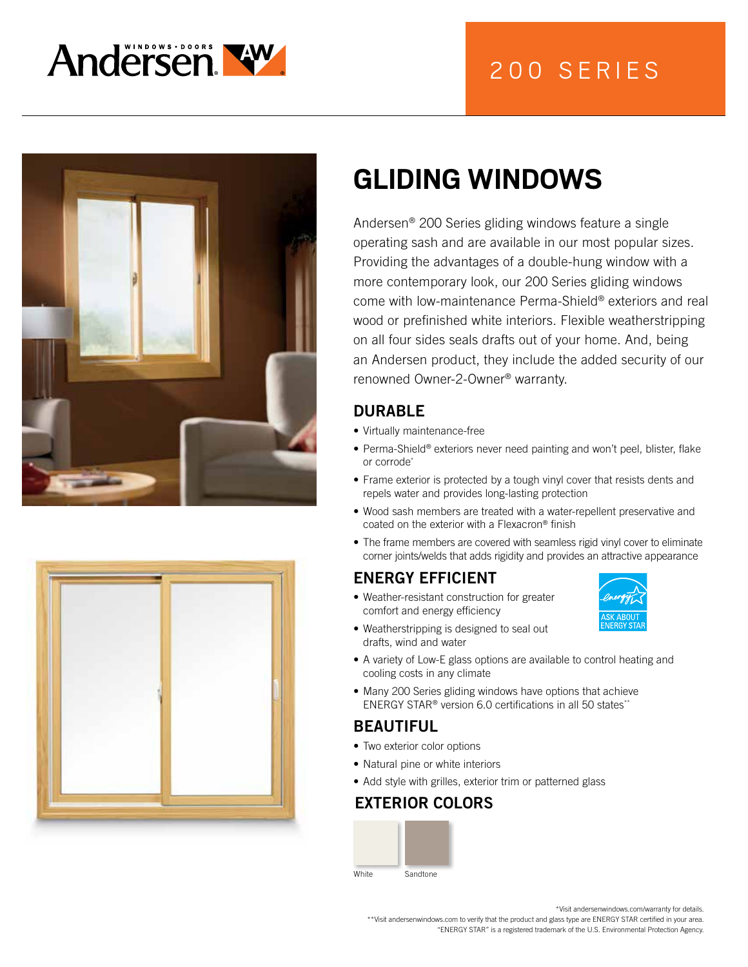

# 200 SERIES





# **GLIDING WINDOWS**

Andersen® 200 Series gliding windows feature a single operating sash and are available in our most popular sizes. Providing the advantages of a double-hung window with a more contemporary look, our 200 Series gliding windows come with low-maintenance Perma-Shield® exteriors and real wood or prefinished white interiors. Flexible weatherstripping on all four sides seals drafts out of your home. And, being an Andersen product, they include the added security of our renowned Owner-2-Owner® warranty.

# DURABLE

- Virtually maintenance-free
- Perma-Shield® exteriors never need painting and won't peel, blister, flake or corrode\*
- Frame exterior is protected by a tough vinyl cover that resists dents and repels water and provides long-lasting protection
- Wood sash members are treated with a water-repellent preservative and coated on the exterior with a Flexacron® finish
- The frame members are covered with seamless rigid vinyl cover to eliminate corner joints/welds that adds rigidity and provides an attractive appearance

# ENERGY EFFICIENT

• Weather-resistant construction for greater comfort and energy efficiency



- Weatherstripping is designed to seal out drafts, wind and water
- A variety of Low-E glass options are available to control heating and cooling costs in any climate
- Many 200 Series gliding windows have options that achieve ENERGY STAR® version 6.0 certifications in all 50 states\*\*

### BEAUTIFUL

- Two exterior color options
- Natural pine or white interiors
- Add style with grilles, exterior trim or patterned glass

### EXTERIOR COLORS



\*Visit andersenwindows.com/warranty for details.

\*\*Visit andersenwindows.com to verify that the product and glass type are ENERGY STAR certified in your area. "ENERGY STAR" is a registered trademark of the U.S. Environmental Protection Agency.